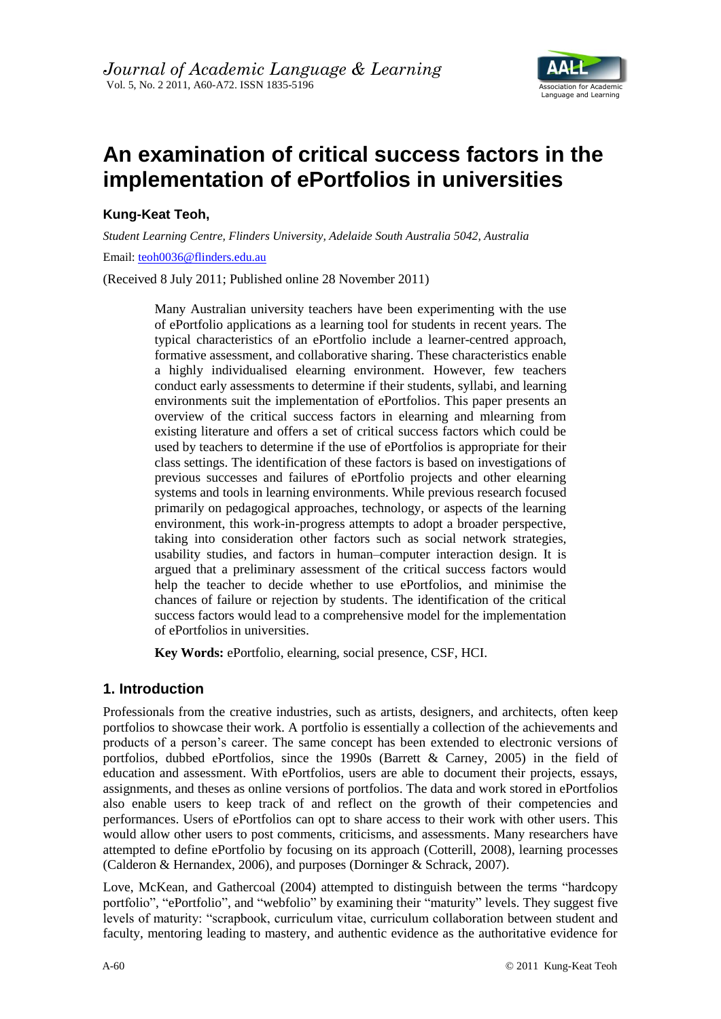

# **An examination of critical success factors in the implementation of ePortfolios in universities**

**Kung-Keat Teoh,** 

*Student Learning Centre, Flinders University, Adelaide South Australia 5042, Australia*  Email: [teoh0036@flinders.edu.au](mailto:teoh0036@flinders.edu.au)

(Received 8 July 2011; Published online 28 November 2011)

Many Australian university teachers have been experimenting with the use of ePortfolio applications as a learning tool for students in recent years. The typical characteristics of an ePortfolio include a learner-centred approach, formative assessment, and collaborative sharing. These characteristics enable a highly individualised elearning environment. However, few teachers conduct early assessments to determine if their students, syllabi, and learning environments suit the implementation of ePortfolios. This paper presents an overview of the critical success factors in elearning and mlearning from existing literature and offers a set of critical success factors which could be used by teachers to determine if the use of ePortfolios is appropriate for their class settings. The identification of these factors is based on investigations of previous successes and failures of ePortfolio projects and other elearning systems and tools in learning environments. While previous research focused primarily on pedagogical approaches, technology, or aspects of the learning environment, this work-in-progress attempts to adopt a broader perspective, taking into consideration other factors such as social network strategies, usability studies, and factors in human–computer interaction design. It is argued that a preliminary assessment of the critical success factors would help the teacher to decide whether to use ePortfolios, and minimise the chances of failure or rejection by students. The identification of the critical success factors would lead to a comprehensive model for the implementation of ePortfolios in universities.

**Key Words:** ePortfolio, elearning, social presence, CSF, HCI.

# **1. Introduction**

Professionals from the creative industries, such as artists, designers, and architects, often keep portfolios to showcase their work. A portfolio is essentially a collection of the achievements and products of a person's career. The same concept has been extended to electronic versions of portfolios, dubbed ePortfolios, since the 1990s (Barrett & Carney, 2005) in the field of education and assessment. With ePortfolios, users are able to document their projects, essays, assignments, and theses as online versions of portfolios. The data and work stored in ePortfolios also enable users to keep track of and reflect on the growth of their competencies and performances. Users of ePortfolios can opt to share access to their work with other users. This would allow other users to post comments, criticisms, and assessments. Many researchers have attempted to define ePortfolio by focusing on its approach (Cotterill, 2008), learning processes (Calderon & Hernandex, 2006), and purposes (Dorninger & Schrack, 2007).

Love, McKean, and Gathercoal (2004) attempted to distinguish between the terms "hardcopy portfolio", "ePortfolio", and "webfolio" by examining their "maturity" levels. They suggest five levels of maturity: "scrapbook, curriculum vitae, curriculum collaboration between student and faculty, mentoring leading to mastery, and authentic evidence as the authoritative evidence for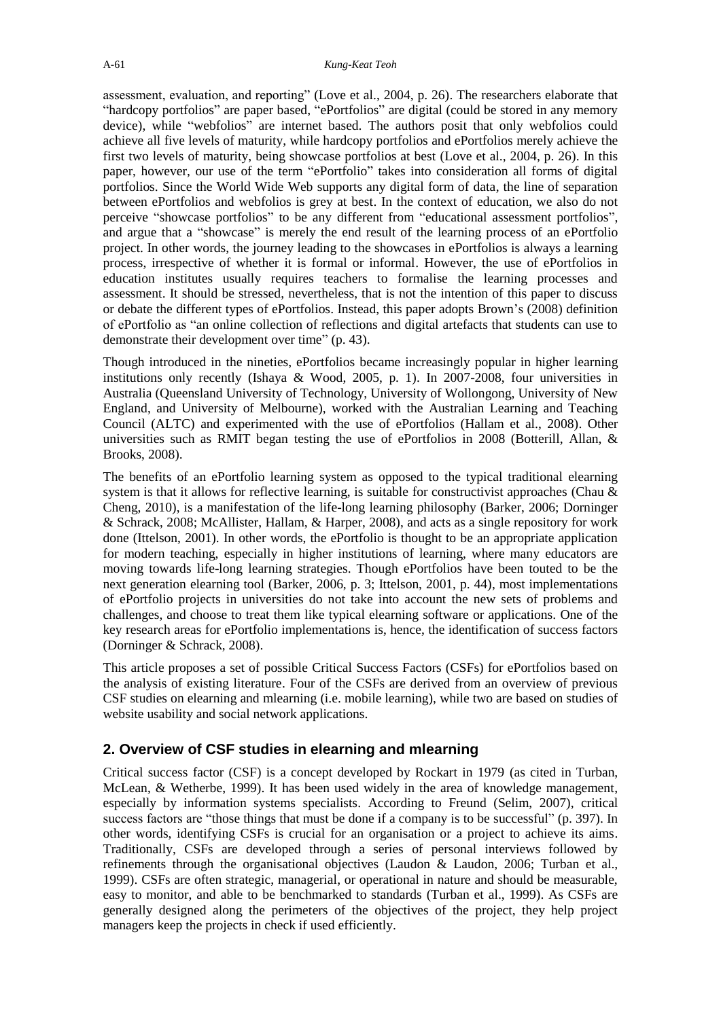assessment, evaluation, and reporting" (Love et al., 2004, p. 26). The researchers elaborate that "hardcopy portfolios" are paper based, "ePortfolios" are digital (could be stored in any memory device), while "webfolios" are internet based. The authors posit that only webfolios could achieve all five levels of maturity, while hardcopy portfolios and ePortfolios merely achieve the first two levels of maturity, being showcase portfolios at best (Love et al., 2004, p. 26). In this paper, however, our use of the term "ePortfolio" takes into consideration all forms of digital portfolios. Since the World Wide Web supports any digital form of data, the line of separation between ePortfolios and webfolios is grey at best. In the context of education, we also do not perceive "showcase portfolios" to be any different from "educational assessment portfolios", and argue that a "showcase" is merely the end result of the learning process of an ePortfolio project. In other words, the journey leading to the showcases in ePortfolios is always a learning process, irrespective of whether it is formal or informal. However, the use of ePortfolios in education institutes usually requires teachers to formalise the learning processes and assessment. It should be stressed, nevertheless, that is not the intention of this paper to discuss or debate the different types of ePortfolios. Instead, this paper adopts Brown's (2008) definition of ePortfolio as "an online collection of reflections and digital artefacts that students can use to demonstrate their development over time" (p. 43).

Though introduced in the nineties, ePortfolios became increasingly popular in higher learning institutions only recently (Ishaya & Wood, 2005, p. 1). In 2007-2008, four universities in Australia (Queensland University of Technology, University of Wollongong, University of New England, and University of Melbourne), worked with the Australian Learning and Teaching Council (ALTC) and experimented with the use of ePortfolios (Hallam et al., 2008). Other universities such as RMIT began testing the use of ePortfolios in 2008 (Botterill, Allan,  $\&$ Brooks, 2008).

The benefits of an ePortfolio learning system as opposed to the typical traditional elearning system is that it allows for reflective learning, is suitable for constructivist approaches (Chau  $\&$ Cheng, 2010), is a manifestation of the life-long learning philosophy (Barker, 2006; Dorninger & Schrack, 2008; McAllister, Hallam, & Harper, 2008), and acts as a single repository for work done (Ittelson, 2001). In other words, the ePortfolio is thought to be an appropriate application for modern teaching, especially in higher institutions of learning, where many educators are moving towards life-long learning strategies. Though ePortfolios have been touted to be the next generation elearning tool (Barker, 2006, p. 3; Ittelson, 2001, p. 44), most implementations of ePortfolio projects in universities do not take into account the new sets of problems and challenges, and choose to treat them like typical elearning software or applications. One of the key research areas for ePortfolio implementations is, hence, the identification of success factors (Dorninger & Schrack, 2008).

This article proposes a set of possible Critical Success Factors (CSFs) for ePortfolios based on the analysis of existing literature. Four of the CSFs are derived from an overview of previous CSF studies on elearning and mlearning (i.e. mobile learning), while two are based on studies of website usability and social network applications.

# **2. Overview of CSF studies in elearning and mlearning**

Critical success factor (CSF) is a concept developed by Rockart in 1979 (as cited in Turban, McLean, & Wetherbe, 1999). It has been used widely in the area of knowledge management, especially by information systems specialists. According to Freund (Selim, 2007), critical success factors are "those things that must be done if a company is to be successful" (p. 397). In other words, identifying CSFs is crucial for an organisation or a project to achieve its aims. Traditionally, CSFs are developed through a series of personal interviews followed by refinements through the organisational objectives (Laudon & Laudon, 2006; Turban et al., 1999). CSFs are often strategic, managerial, or operational in nature and should be measurable, easy to monitor, and able to be benchmarked to standards (Turban et al., 1999). As CSFs are generally designed along the perimeters of the objectives of the project, they help project managers keep the projects in check if used efficiently.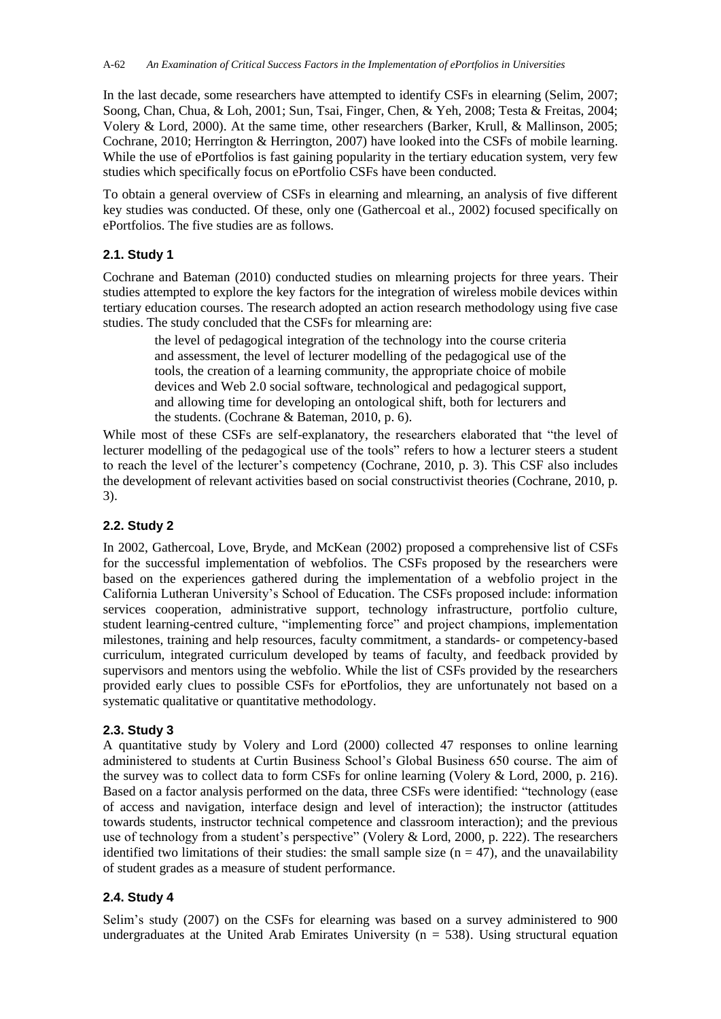In the last decade, some researchers have attempted to identify CSFs in elearning (Selim, 2007; Soong, Chan, Chua, & Loh, 2001; Sun, Tsai, Finger, Chen, & Yeh, 2008; Testa & Freitas, 2004; Volery & Lord, 2000). At the same time, other researchers (Barker, Krull, & Mallinson, 2005; Cochrane, 2010; Herrington & Herrington, 2007) have looked into the CSFs of mobile learning. While the use of ePortfolios is fast gaining popularity in the tertiary education system, very few studies which specifically focus on ePortfolio CSFs have been conducted.

To obtain a general overview of CSFs in elearning and mlearning, an analysis of five different key studies was conducted. Of these, only one (Gathercoal et al., 2002) focused specifically on ePortfolios. The five studies are as follows.

# **2.1. Study 1**

Cochrane and Bateman (2010) conducted studies on mlearning projects for three years. Their studies attempted to explore the key factors for the integration of wireless mobile devices within tertiary education courses. The research adopted an action research methodology using five case studies. The study concluded that the CSFs for mlearning are:

the level of pedagogical integration of the technology into the course criteria and assessment, the level of lecturer modelling of the pedagogical use of the tools, the creation of a learning community, the appropriate choice of mobile devices and Web 2.0 social software, technological and pedagogical support, and allowing time for developing an ontological shift, both for lecturers and the students. (Cochrane & Bateman, 2010, p. 6).

While most of these CSFs are self-explanatory, the researchers elaborated that "the level of lecturer modelling of the pedagogical use of the tools" refers to how a lecturer steers a student to reach the level of the lecturer's competency (Cochrane, 2010, p. 3). This CSF also includes the development of relevant activities based on social constructivist theories (Cochrane, 2010, p. 3).

# **2.2. Study 2**

In 2002, Gathercoal, Love, Bryde, and McKean (2002) proposed a comprehensive list of CSFs for the successful implementation of webfolios. The CSFs proposed by the researchers were based on the experiences gathered during the implementation of a webfolio project in the California Lutheran University's School of Education. The CSFs proposed include: information services cooperation, administrative support, technology infrastructure, portfolio culture, student learning-centred culture, "implementing force" and project champions, implementation milestones, training and help resources, faculty commitment, a standards- or competency-based curriculum, integrated curriculum developed by teams of faculty, and feedback provided by supervisors and mentors using the webfolio. While the list of CSFs provided by the researchers provided early clues to possible CSFs for ePortfolios, they are unfortunately not based on a systematic qualitative or quantitative methodology.

# **2.3. Study 3**

A quantitative study by Volery and Lord (2000) collected 47 responses to online learning administered to students at Curtin Business School's Global Business 650 course. The aim of the survey was to collect data to form CSFs for online learning (Volery & Lord, 2000, p. 216). Based on a factor analysis performed on the data, three CSFs were identified: "technology (ease of access and navigation, interface design and level of interaction); the instructor (attitudes towards students, instructor technical competence and classroom interaction); and the previous use of technology from a student's perspective" (Volery & Lord, 2000, p. 222). The researchers identified two limitations of their studies: the small sample size  $(n = 47)$ , and the unavailability of student grades as a measure of student performance.

# **2.4. Study 4**

Selim's study (2007) on the CSFs for elearning was based on a survey administered to 900 undergraduates at the United Arab Emirates University ( $n = 538$ ). Using structural equation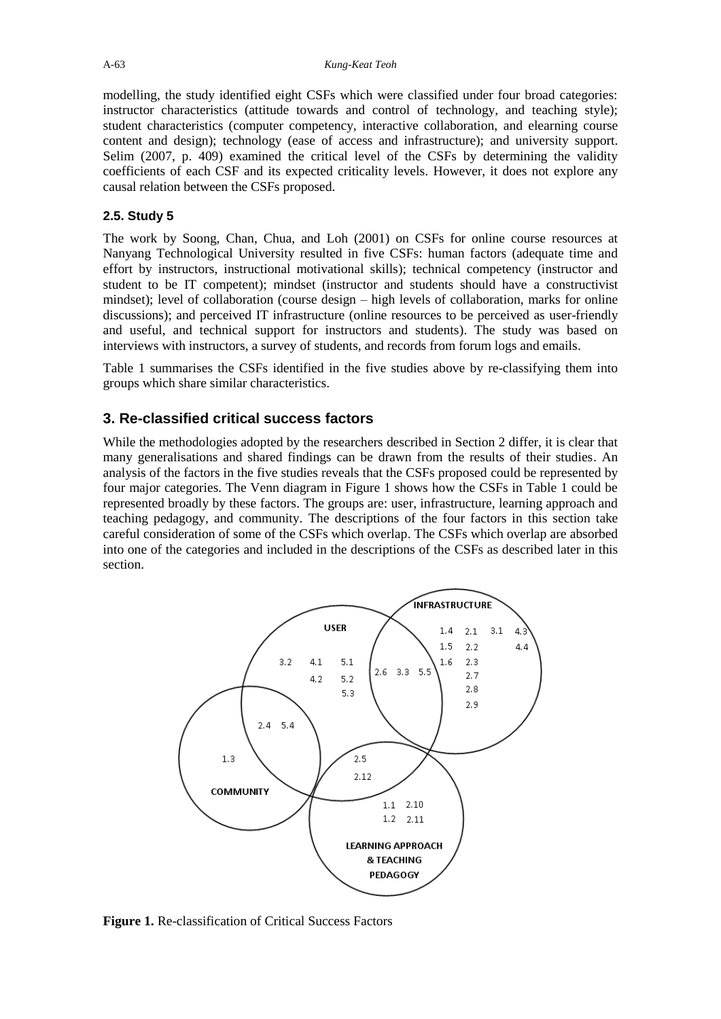modelling, the study identified eight CSFs which were classified under four broad categories: instructor characteristics (attitude towards and control of technology, and teaching style); student characteristics (computer competency, interactive collaboration, and elearning course content and design); technology (ease of access and infrastructure); and university support. Selim (2007, p. 409) examined the critical level of the CSFs by determining the validity coefficients of each CSF and its expected criticality levels. However, it does not explore any causal relation between the CSFs proposed.

## **2.5. Study 5**

The work by Soong, Chan, Chua, and Loh (2001) on CSFs for online course resources at Nanyang Technological University resulted in five CSFs: human factors (adequate time and effort by instructors, instructional motivational skills); technical competency (instructor and student to be IT competent); mindset (instructor and students should have a constructivist mindset); level of collaboration (course design – high levels of collaboration, marks for online discussions); and perceived IT infrastructure (online resources to be perceived as user-friendly and useful, and technical support for instructors and students). The study was based on interviews with instructors, a survey of students, and records from forum logs and emails.

Table 1 summarises the CSFs identified in the five studies above by re-classifying them into groups which share similar characteristics.

# **3. Re-classified critical success factors**

While the methodologies adopted by the researchers described in Section 2 differ, it is clear that many generalisations and shared findings can be drawn from the results of their studies. An analysis of the factors in the five studies reveals that the CSFs proposed could be represented by four major categories. The Venn diagram in Figure 1 shows how the CSFs in Table 1 could be represented broadly by these factors. The groups are: user, infrastructure, learning approach and teaching pedagogy, and community. The descriptions of the four factors in this section take careful consideration of some of the CSFs which overlap. The CSFs which overlap are absorbed into one of the categories and included in the descriptions of the CSFs as described later in this section.



**Figure 1.** Re-classification of Critical Success Factors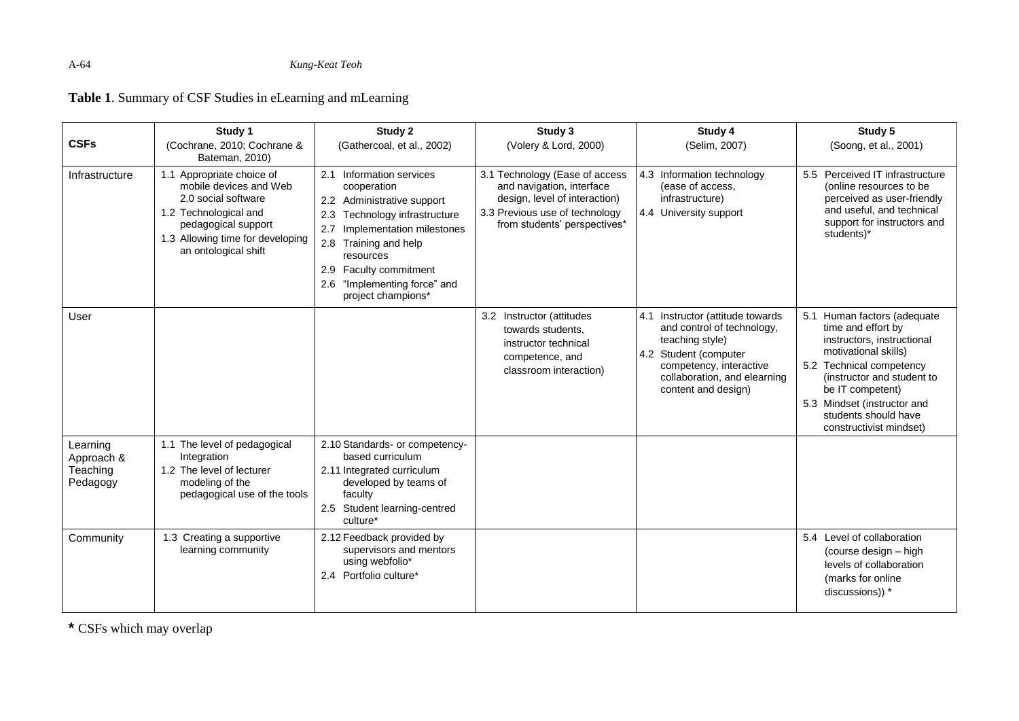**Table 1**. Summary of CSF Studies in eLearning and mLearning

|                                                | Study 1                                                                                                                                                                                | Study 2                                                                                                                                                                                                                                                             | Study 3                                                                                                                                                        | Study 4                                                                                                                                                                                      | Study 5                                                                                                                                                                                                                                                                 |
|------------------------------------------------|----------------------------------------------------------------------------------------------------------------------------------------------------------------------------------------|---------------------------------------------------------------------------------------------------------------------------------------------------------------------------------------------------------------------------------------------------------------------|----------------------------------------------------------------------------------------------------------------------------------------------------------------|----------------------------------------------------------------------------------------------------------------------------------------------------------------------------------------------|-------------------------------------------------------------------------------------------------------------------------------------------------------------------------------------------------------------------------------------------------------------------------|
| <b>CSFs</b>                                    | (Cochrane, 2010; Cochrane &<br>Bateman, 2010)                                                                                                                                          | (Gathercoal, et al., 2002)                                                                                                                                                                                                                                          | (Volery & Lord, 2000)                                                                                                                                          | (Selim, 2007)                                                                                                                                                                                | (Soong, et al., 2001)                                                                                                                                                                                                                                                   |
| Infrastructure                                 | 1.1 Appropriate choice of<br>mobile devices and Web<br>2.0 social software<br>1.2 Technological and<br>pedagogical support<br>1.3 Allowing time for developing<br>an ontological shift | 2.1 Information services<br>cooperation<br>2.2 Administrative support<br>Technology infrastructure<br>2.3<br>2.7<br>Implementation milestones<br>2.8 Training and help<br>resources<br>2.9 Faculty commitment<br>2.6 "Implementing force" and<br>project champions* | 3.1 Technology (Ease of access<br>and navigation, interface<br>design, level of interaction)<br>3.3 Previous use of technology<br>from students' perspectives* | 4.3 Information technology<br>(ease of access,<br>infrastructure)<br>4.4 University support                                                                                                  | 5.5 Perceived IT infrastructure<br>(online resources to be<br>perceived as user-friendly<br>and useful, and technical<br>support for instructors and<br>students)*                                                                                                      |
| User                                           |                                                                                                                                                                                        |                                                                                                                                                                                                                                                                     | 3.2 Instructor (attitudes<br>towards students.<br>instructor technical<br>competence, and<br>classroom interaction)                                            | 4.1 Instructor (attitude towards<br>and control of technology,<br>teaching style)<br>4.2 Student (computer<br>competency, interactive<br>collaboration, and elearning<br>content and design) | 5.1 Human factors (adequate<br>time and effort by<br>instructors, instructional<br>motivational skills)<br>5.2 Technical competency<br>(instructor and student to<br>be IT competent)<br>5.3 Mindset (instructor and<br>students should have<br>constructivist mindset) |
| Learning<br>Approach &<br>Teaching<br>Pedagogy | 1.1 The level of pedagogical<br>Integration<br>1.2 The level of lecturer<br>modeling of the<br>pedagogical use of the tools                                                            | 2.10 Standards- or competency-<br>based curriculum<br>2.11 Integrated curriculum<br>developed by teams of<br>faculty<br>2.5 Student learning-centred<br>culture*                                                                                                    |                                                                                                                                                                |                                                                                                                                                                                              |                                                                                                                                                                                                                                                                         |
| Community                                      | 1.3 Creating a supportive<br>learning community                                                                                                                                        | 2.12 Feedback provided by<br>supervisors and mentors<br>using webfolio*<br>2.4 Portfolio culture*                                                                                                                                                                   |                                                                                                                                                                |                                                                                                                                                                                              | 5.4 Level of collaboration<br>(course design - high<br>levels of collaboration<br>(marks for online<br>discussions)) *                                                                                                                                                  |

**\*** CSFs which may overlap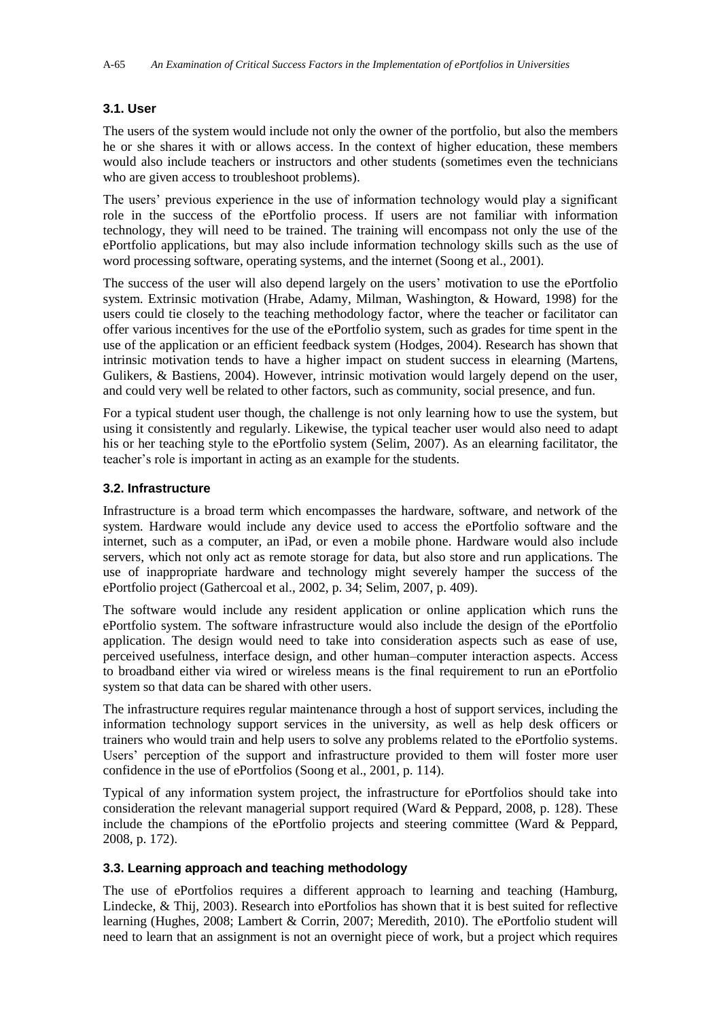#### **3.1. User**

The users of the system would include not only the owner of the portfolio, but also the members he or she shares it with or allows access. In the context of higher education, these members would also include teachers or instructors and other students (sometimes even the technicians who are given access to troubleshoot problems).

The users' previous experience in the use of information technology would play a significant role in the success of the ePortfolio process. If users are not familiar with information technology, they will need to be trained. The training will encompass not only the use of the ePortfolio applications, but may also include information technology skills such as the use of word processing software, operating systems, and the internet (Soong et al., 2001).

The success of the user will also depend largely on the users' motivation to use the ePortfolio system. Extrinsic motivation (Hrabe, Adamy, Milman, Washington, & Howard, 1998) for the users could tie closely to the teaching methodology factor, where the teacher or facilitator can offer various incentives for the use of the ePortfolio system, such as grades for time spent in the use of the application or an efficient feedback system (Hodges, 2004). Research has shown that intrinsic motivation tends to have a higher impact on student success in elearning (Martens, Gulikers, & Bastiens, 2004). However, intrinsic motivation would largely depend on the user, and could very well be related to other factors, such as community, social presence, and fun.

For a typical student user though, the challenge is not only learning how to use the system, but using it consistently and regularly. Likewise, the typical teacher user would also need to adapt his or her teaching style to the ePortfolio system (Selim, 2007). As an elearning facilitator, the teacher's role is important in acting as an example for the students.

#### **3.2. Infrastructure**

Infrastructure is a broad term which encompasses the hardware, software, and network of the system. Hardware would include any device used to access the ePortfolio software and the internet, such as a computer, an iPad, or even a mobile phone. Hardware would also include servers, which not only act as remote storage for data, but also store and run applications. The use of inappropriate hardware and technology might severely hamper the success of the ePortfolio project (Gathercoal et al., 2002, p. 34; Selim, 2007, p. 409).

The software would include any resident application or online application which runs the ePortfolio system. The software infrastructure would also include the design of the ePortfolio application. The design would need to take into consideration aspects such as ease of use, perceived usefulness, interface design, and other human–computer interaction aspects. Access to broadband either via wired or wireless means is the final requirement to run an ePortfolio system so that data can be shared with other users.

The infrastructure requires regular maintenance through a host of support services, including the information technology support services in the university, as well as help desk officers or trainers who would train and help users to solve any problems related to the ePortfolio systems. Users' perception of the support and infrastructure provided to them will foster more user confidence in the use of ePortfolios (Soong et al., 2001, p. 114).

Typical of any information system project, the infrastructure for ePortfolios should take into consideration the relevant managerial support required (Ward & Peppard, 2008, p. 128). These include the champions of the ePortfolio projects and steering committee (Ward & Peppard, 2008, p. 172).

#### **3.3. Learning approach and teaching methodology**

The use of ePortfolios requires a different approach to learning and teaching (Hamburg, Lindecke, & Thij, 2003). Research into ePortfolios has shown that it is best suited for reflective learning (Hughes, 2008; Lambert & Corrin, 2007; Meredith, 2010). The ePortfolio student will need to learn that an assignment is not an overnight piece of work, but a project which requires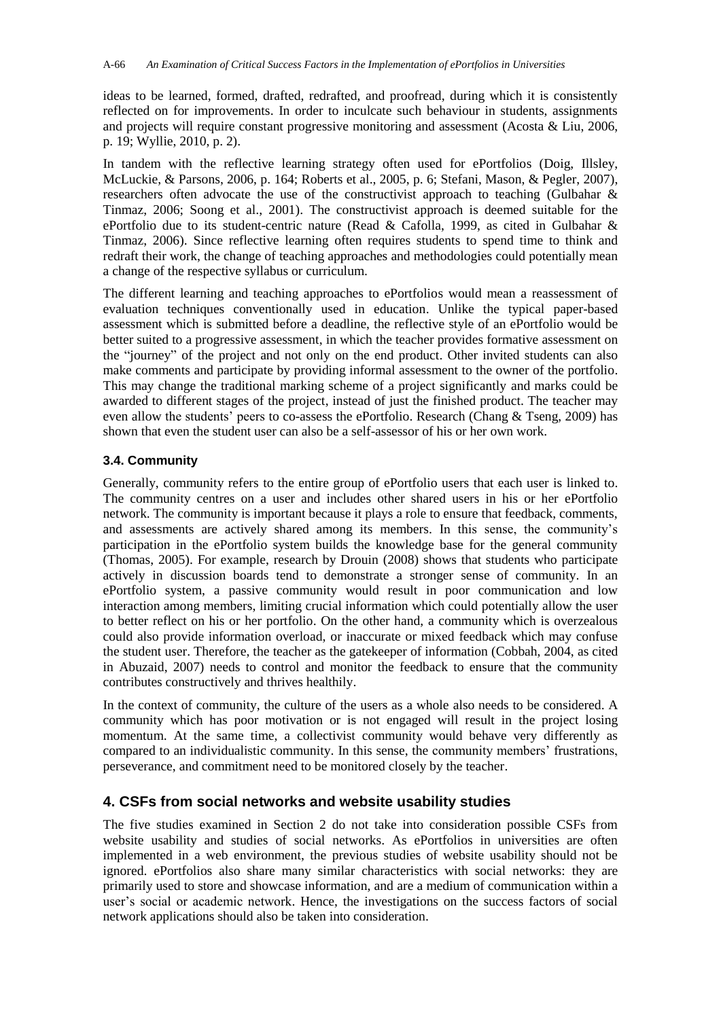ideas to be learned, formed, drafted, redrafted, and proofread, during which it is consistently reflected on for improvements. In order to inculcate such behaviour in students, assignments and projects will require constant progressive monitoring and assessment (Acosta & Liu, 2006, p. 19; Wyllie, 2010, p. 2).

In tandem with the reflective learning strategy often used for ePortfolios (Doig, Illsley, McLuckie, & Parsons, 2006, p. 164; Roberts et al., 2005, p. 6; Stefani, Mason, & Pegler, 2007), researchers often advocate the use of the constructivist approach to teaching (Gulbahar & Tinmaz, 2006; Soong et al., 2001). The constructivist approach is deemed suitable for the ePortfolio due to its student-centric nature (Read & Cafolla, 1999, as cited in Gulbahar & Tinmaz, 2006). Since reflective learning often requires students to spend time to think and redraft their work, the change of teaching approaches and methodologies could potentially mean a change of the respective syllabus or curriculum.

The different learning and teaching approaches to ePortfolios would mean a reassessment of evaluation techniques conventionally used in education. Unlike the typical paper-based assessment which is submitted before a deadline, the reflective style of an ePortfolio would be better suited to a progressive assessment, in which the teacher provides formative assessment on the "journey" of the project and not only on the end product. Other invited students can also make comments and participate by providing informal assessment to the owner of the portfolio. This may change the traditional marking scheme of a project significantly and marks could be awarded to different stages of the project, instead of just the finished product. The teacher may even allow the students' peers to co-assess the ePortfolio. Research (Chang & Tseng, 2009) has shown that even the student user can also be a self-assessor of his or her own work.

#### **3.4. Community**

Generally, community refers to the entire group of ePortfolio users that each user is linked to. The community centres on a user and includes other shared users in his or her ePortfolio network. The community is important because it plays a role to ensure that feedback, comments, and assessments are actively shared among its members. In this sense, the community's participation in the ePortfolio system builds the knowledge base for the general community (Thomas, 2005). For example, research by Drouin (2008) shows that students who participate actively in discussion boards tend to demonstrate a stronger sense of community. In an ePortfolio system, a passive community would result in poor communication and low interaction among members, limiting crucial information which could potentially allow the user to better reflect on his or her portfolio. On the other hand, a community which is overzealous could also provide information overload, or inaccurate or mixed feedback which may confuse the student user. Therefore, the teacher as the gatekeeper of information (Cobbah, 2004, as cited in Abuzaid, 2007) needs to control and monitor the feedback to ensure that the community contributes constructively and thrives healthily.

In the context of community, the culture of the users as a whole also needs to be considered. A community which has poor motivation or is not engaged will result in the project losing momentum. At the same time, a collectivist community would behave very differently as compared to an individualistic community. In this sense, the community members' frustrations, perseverance, and commitment need to be monitored closely by the teacher.

# **4. CSFs from social networks and website usability studies**

The five studies examined in Section 2 do not take into consideration possible CSFs from website usability and studies of social networks. As ePortfolios in universities are often implemented in a web environment, the previous studies of website usability should not be ignored. ePortfolios also share many similar characteristics with social networks: they are primarily used to store and showcase information, and are a medium of communication within a user's social or academic network. Hence, the investigations on the success factors of social network applications should also be taken into consideration.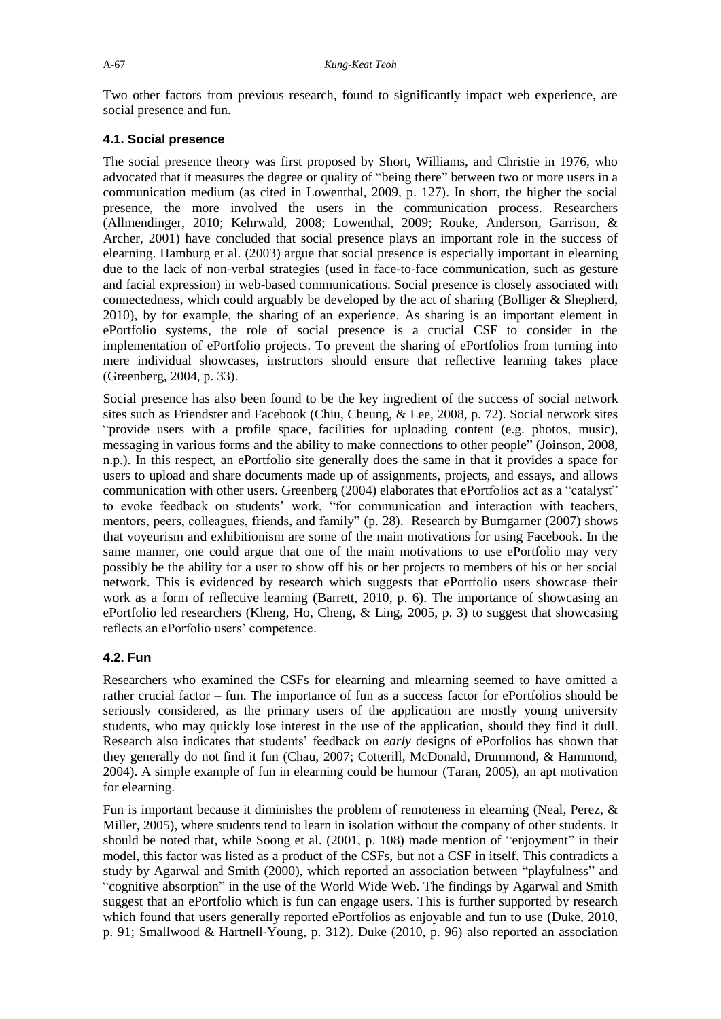Two other factors from previous research, found to significantly impact web experience, are social presence and fun.

#### **4.1. Social presence**

The social presence theory was first proposed by Short, Williams, and Christie in 1976, who advocated that it measures the degree or quality of "being there" between two or more users in a communication medium (as cited in Lowenthal, 2009, p. 127). In short, the higher the social presence, the more involved the users in the communication process. Researchers (Allmendinger, 2010; Kehrwald, 2008; Lowenthal, 2009; Rouke, Anderson, Garrison, & Archer, 2001) have concluded that social presence plays an important role in the success of elearning. Hamburg et al. (2003) argue that social presence is especially important in elearning due to the lack of non-verbal strategies (used in face-to-face communication, such as gesture and facial expression) in web-based communications. Social presence is closely associated with connectedness, which could arguably be developed by the act of sharing (Bolliger & Shepherd, 2010), by for example, the sharing of an experience. As sharing is an important element in ePortfolio systems, the role of social presence is a crucial CSF to consider in the implementation of ePortfolio projects. To prevent the sharing of ePortfolios from turning into mere individual showcases, instructors should ensure that reflective learning takes place (Greenberg, 2004, p. 33).

Social presence has also been found to be the key ingredient of the success of social network sites such as Friendster and Facebook (Chiu, Cheung, & Lee, 2008, p. 72). Social network sites "provide users with a profile space, facilities for uploading content (e.g. photos, music), messaging in various forms and the ability to make connections to other people" (Joinson, 2008, n.p.). In this respect, an ePortfolio site generally does the same in that it provides a space for users to upload and share documents made up of assignments, projects, and essays, and allows communication with other users. Greenberg (2004) elaborates that ePortfolios act as a "catalyst" to evoke feedback on students' work, "for communication and interaction with teachers, mentors, peers, colleagues, friends, and family" (p. 28). Research by Bumgarner (2007) shows that voyeurism and exhibitionism are some of the main motivations for using Facebook. In the same manner, one could argue that one of the main motivations to use ePortfolio may very possibly be the ability for a user to show off his or her projects to members of his or her social network. This is evidenced by research which suggests that ePortfolio users showcase their work as a form of reflective learning (Barrett, 2010, p. 6). The importance of showcasing an ePortfolio led researchers (Kheng, Ho, Cheng, & Ling, 2005, p. 3) to suggest that showcasing reflects an ePorfolio users' competence.

#### **4.2. Fun**

Researchers who examined the CSFs for elearning and mlearning seemed to have omitted a rather crucial factor – fun. The importance of fun as a success factor for ePortfolios should be seriously considered, as the primary users of the application are mostly young university students, who may quickly lose interest in the use of the application, should they find it dull. Research also indicates that students' feedback on *early* designs of ePorfolios has shown that they generally do not find it fun (Chau, 2007; Cotterill, McDonald, Drummond, & Hammond, 2004). A simple example of fun in elearning could be humour (Taran, 2005), an apt motivation for elearning.

Fun is important because it diminishes the problem of remoteness in elearning (Neal, Perez, & Miller, 2005), where students tend to learn in isolation without the company of other students. It should be noted that, while Soong et al. (2001, p. 108) made mention of "enjoyment" in their model, this factor was listed as a product of the CSFs, but not a CSF in itself. This contradicts a study by Agarwal and Smith (2000), which reported an association between "playfulness" and "cognitive absorption" in the use of the World Wide Web. The findings by Agarwal and Smith suggest that an ePortfolio which is fun can engage users. This is further supported by research which found that users generally reported ePortfolios as enjoyable and fun to use (Duke, 2010, p. 91; Smallwood & Hartnell-Young, p. 312). Duke (2010, p. 96) also reported an association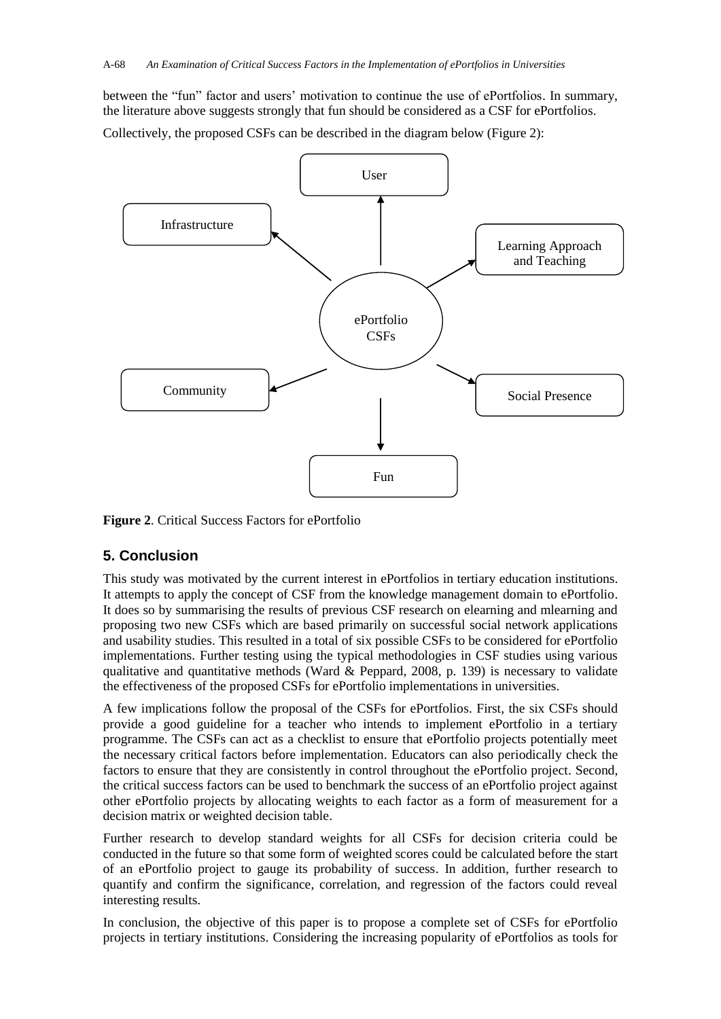between the "fun" factor and users' motivation to continue the use of ePortfolios. In summary, the literature above suggests strongly that fun should be considered as a CSF for ePortfolios.

Collectively, the proposed CSFs can be described in the diagram below (Figure 2):



**Figure 2**. Critical Success Factors for ePortfolio

# **5. Conclusion**

This study was motivated by the current interest in ePortfolios in tertiary education institutions. It attempts to apply the concept of CSF from the knowledge management domain to ePortfolio. It does so by summarising the results of previous CSF research on elearning and mlearning and proposing two new CSFs which are based primarily on successful social network applications and usability studies. This resulted in a total of six possible CSFs to be considered for ePortfolio implementations. Further testing using the typical methodologies in CSF studies using various qualitative and quantitative methods (Ward & Peppard, 2008, p. 139) is necessary to validate the effectiveness of the proposed CSFs for ePortfolio implementations in universities.

A few implications follow the proposal of the CSFs for ePortfolios. First, the six CSFs should provide a good guideline for a teacher who intends to implement ePortfolio in a tertiary programme. The CSFs can act as a checklist to ensure that ePortfolio projects potentially meet the necessary critical factors before implementation. Educators can also periodically check the factors to ensure that they are consistently in control throughout the ePortfolio project. Second, the critical success factors can be used to benchmark the success of an ePortfolio project against other ePortfolio projects by allocating weights to each factor as a form of measurement for a decision matrix or weighted decision table.

Further research to develop standard weights for all CSFs for decision criteria could be conducted in the future so that some form of weighted scores could be calculated before the start of an ePortfolio project to gauge its probability of success. In addition, further research to quantify and confirm the significance, correlation, and regression of the factors could reveal interesting results.

In conclusion, the objective of this paper is to propose a complete set of CSFs for ePortfolio projects in tertiary institutions. Considering the increasing popularity of ePortfolios as tools for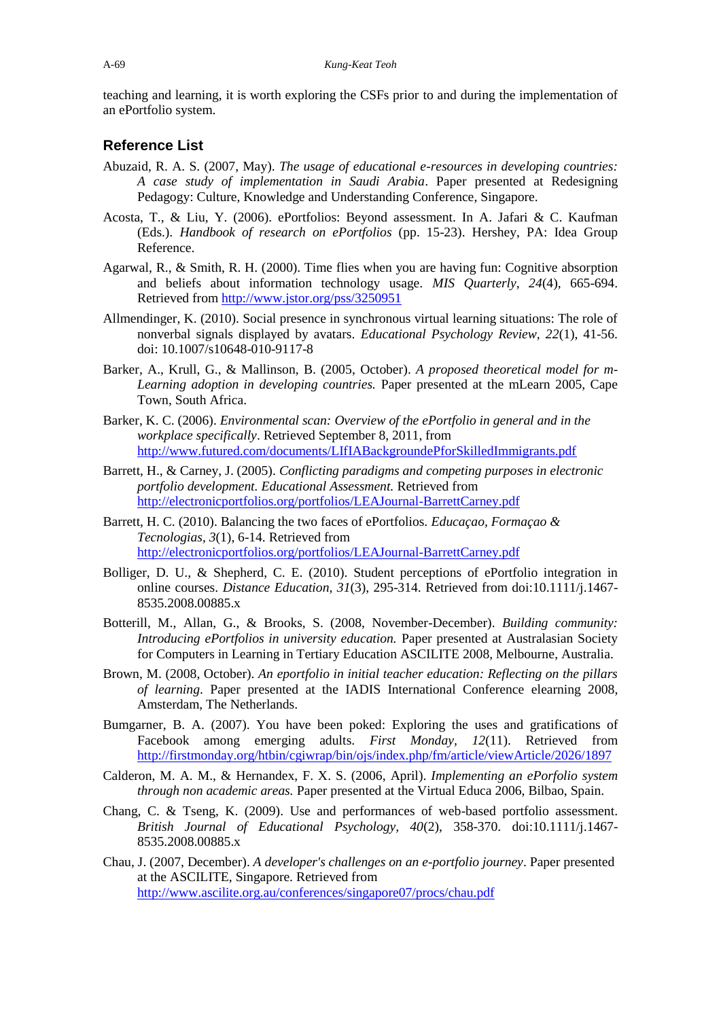teaching and learning, it is worth exploring the CSFs prior to and during the implementation of an ePortfolio system.

## **Reference List**

- Abuzaid, R. A. S. (2007, May). *The usage of educational e-resources in developing countries: A case study of implementation in Saudi Arabia*. Paper presented at Redesigning Pedagogy: Culture, Knowledge and Understanding Conference, Singapore.
- Acosta, T., & Liu, Y. (2006). ePortfolios: Beyond assessment. In A. Jafari & C. Kaufman (Eds.). *Handbook of research on ePortfolios* (pp. 15-23). Hershey, PA: Idea Group Reference.
- Agarwal, R., & Smith, R. H. (2000). Time flies when you are having fun: Cognitive absorption and beliefs about information technology usage. *MIS Quarterly, 24*(4), 665-694. Retrieved from<http://www.jstor.org/pss/3250951>
- Allmendinger, K. (2010). Social presence in synchronous virtual learning situations: The role of nonverbal signals displayed by avatars. *Educational Psychology Review, 22*(1), 41-56. doi: 10.1007/s10648-010-9117-8
- Barker, A., Krull, G., & Mallinson, B. (2005, October). *A proposed theoretical model for m-Learning adoption in developing countries.* Paper presented at the mLearn 2005, Cape Town, South Africa.
- Barker, K. C. (2006). *Environmental scan: Overview of the ePortfolio in general and in the workplace specifically*. Retrieved September 8, 2011, from <http://www.futured.com/documents/LIfIABackgroundePforSkilledImmigrants.pdf>
- Barrett, H., & Carney, J. (2005). *Conflicting paradigms and competing purposes in electronic portfolio development. Educational Assessment.* Retrieved from <http://electronicportfolios.org/portfolios/LEAJournal-BarrettCarney.pdf>
- Barrett, H. C. (2010). Balancing the two faces of ePortfolios. *Educaçao, Formaçao & Tecnologias, 3*(1), 6-14. Retrieved from <http://electronicportfolios.org/portfolios/LEAJournal-BarrettCarney.pdf>
- Bolliger, D. U., & Shepherd, C. E. (2010). Student perceptions of ePortfolio integration in online courses. *Distance Education, 31*(3), 295-314. Retrieved from doi:10.1111/j.1467- 8535.2008.00885.x
- Botterill, M., Allan, G., & Brooks, S. (2008, November-December). *Building community: Introducing ePortfolios in university education.* Paper presented at Australasian Society for Computers in Learning in Tertiary Education ASCILITE 2008, Melbourne, Australia.
- Brown, M. (2008, October). *An eportfolio in initial teacher education: Reflecting on the pillars of learning*. Paper presented at the IADIS International Conference elearning 2008, Amsterdam, The Netherlands.
- Bumgarner, B. A. (2007). You have been poked: Exploring the uses and gratifications of Facebook among emerging adults. *First Monday, 12*(11). Retrieved from <http://firstmonday.org/htbin/cgiwrap/bin/ojs/index.php/fm/article/viewArticle/2026/1897>
- Calderon, M. A. M., & Hernandex, F. X. S. (2006, April). *Implementing an ePorfolio system through non academic areas.* Paper presented at the Virtual Educa 2006, Bilbao, Spain.
- Chang, C. & Tseng, K. (2009). Use and performances of web-based portfolio assessment. *British Journal of Educational Psychology, 40*(2), 358-370. doi:10.1111/j.1467- 8535.2008.00885.x
- Chau, J. (2007, December). *A developer's challenges on an e-portfolio journey*. Paper presented at the ASCILITE, Singapore. Retrieved from <http://www.ascilite.org.au/conferences/singapore07/procs/chau.pdf>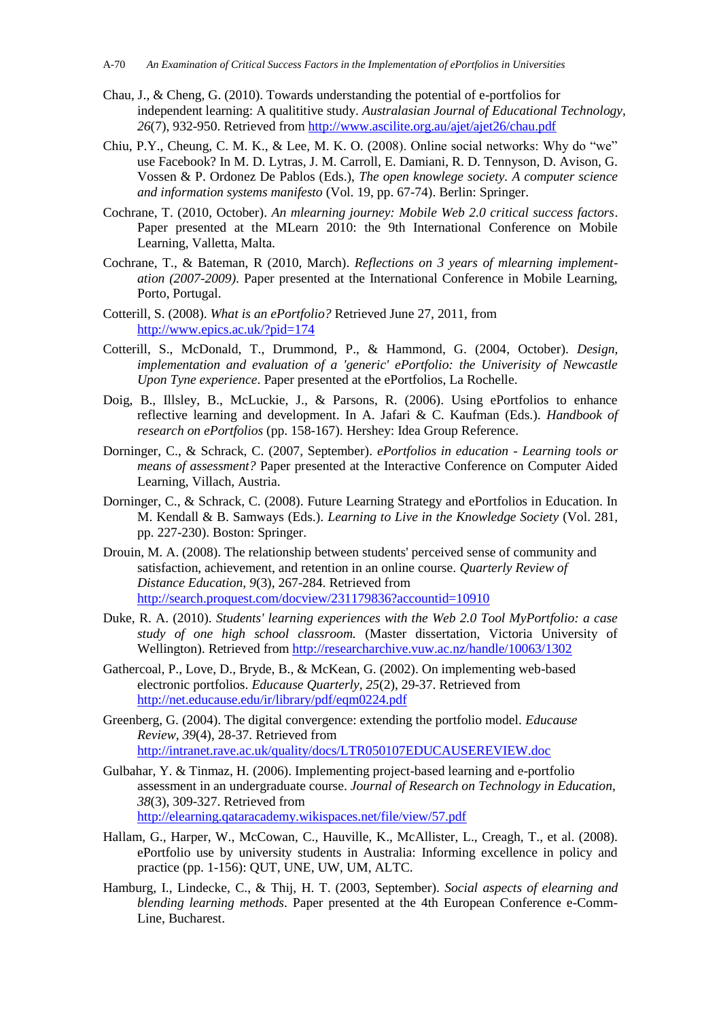- Chau, J., & Cheng, G. (2010). Towards understanding the potential of e-portfolios for independent learning: A qualititive study. *Australasian Journal of Educational Technology,*  26<sup>(7)</sup>, 932-950. Retrieved from <http://www.ascilite.org.au/ajet/ajet26/chau.pdf>
- Chiu, P.Y., Cheung, C. M. K., & Lee, M. K. O. (2008). Online social networks: Why do "we" use Facebook? In M. D. Lytras, J. M. Carroll, E. Damiani, R. D. Tennyson, D. Avison, G. Vossen & P. Ordonez De Pablos (Eds.), *The open knowlege society. A computer science and information systems manifesto* (Vol. 19, pp. 67-74). Berlin: Springer.
- Cochrane, T. (2010, October). *An mlearning journey: Mobile Web 2.0 critical success factors*. Paper presented at the MLearn 2010: the 9th International Conference on Mobile Learning, Valletta, Malta.
- Cochrane, T., & Bateman, R (2010, March). *Reflections on 3 years of mlearning implementation (2007-2009)*. Paper presented at the International Conference in Mobile Learning, Porto, Portugal.
- Cotterill, S. (2008). *What is an ePortfolio?* Retrieved June 27, 2011, from <http://www.epics.ac.uk/?pid=174>
- Cotterill, S., McDonald, T., Drummond, P., & Hammond, G. (2004, October). *Design, implementation and evaluation of a 'generic' ePortfolio: the Univerisity of Newcastle Upon Tyne experience*. Paper presented at the ePortfolios, La Rochelle.
- Doig, B., Illsley, B., McLuckie, J., & Parsons, R. (2006). Using ePortfolios to enhance reflective learning and development. In A. Jafari & C. Kaufman (Eds.). *Handbook of research on ePortfolios* (pp. 158-167). Hershey: Idea Group Reference.
- Dorninger, C., & Schrack, C. (2007, September). *ePortfolios in education - Learning tools or means of assessment?* Paper presented at the Interactive Conference on Computer Aided Learning, Villach, Austria.
- Dorninger, C., & Schrack, C. (2008). Future Learning Strategy and ePortfolios in Education. In M. Kendall & B. Samways (Eds.). *Learning to Live in the Knowledge Society* (Vol. 281, pp. 227-230). Boston: Springer.
- Drouin, M. A. (2008). The relationship between students' perceived sense of community and satisfaction, achievement, and retention in an online course. *Quarterly Review of Distance Education, 9*(3), 267-284. Retrieved from <http://search.proquest.com/docview/231179836?accountid=10910>
- Duke, R. A. (2010). *Students' learning experiences with the Web 2.0 Tool MyPortfolio: a case study of one high school classroom.* (Master dissertation, Victoria University of Wellington). Retrieved from<http://researcharchive.vuw.ac.nz/handle/10063/1302>
- Gathercoal, P., Love, D., Bryde, B., & McKean, G. (2002). On implementing web-based electronic portfolios. *Educause Quarterly, 25*(2), 29-37. Retrieved from <http://net.educause.edu/ir/library/pdf/eqm0224.pdf>
- Greenberg, G. (2004). The digital convergence: extending the portfolio model. *Educause Review, 39*(4), 28-37. Retrieved from <http://intranet.rave.ac.uk/quality/docs/LTR050107EDUCAUSEREVIEW.doc>
- Gulbahar, Y. & Tinmaz, H. (2006). Implementing project-based learning and e-portfolio assessment in an undergraduate course. *Journal of Research on Technology in Education, 38*(3), 309-327. Retrieved from <http://elearning.qataracademy.wikispaces.net/file/view/57.pdf>
- Hallam, G., Harper, W., McCowan, C., Hauville, K., McAllister, L., Creagh, T., et al. (2008). ePortfolio use by university students in Australia: Informing excellence in policy and practice (pp. 1-156): QUT, UNE, UW, UM, ALTC.
- Hamburg, I., Lindecke, C., & Thij, H. T. (2003, September). *Social aspects of elearning and blending learning methods*. Paper presented at the 4th European Conference e-Comm-Line, Bucharest.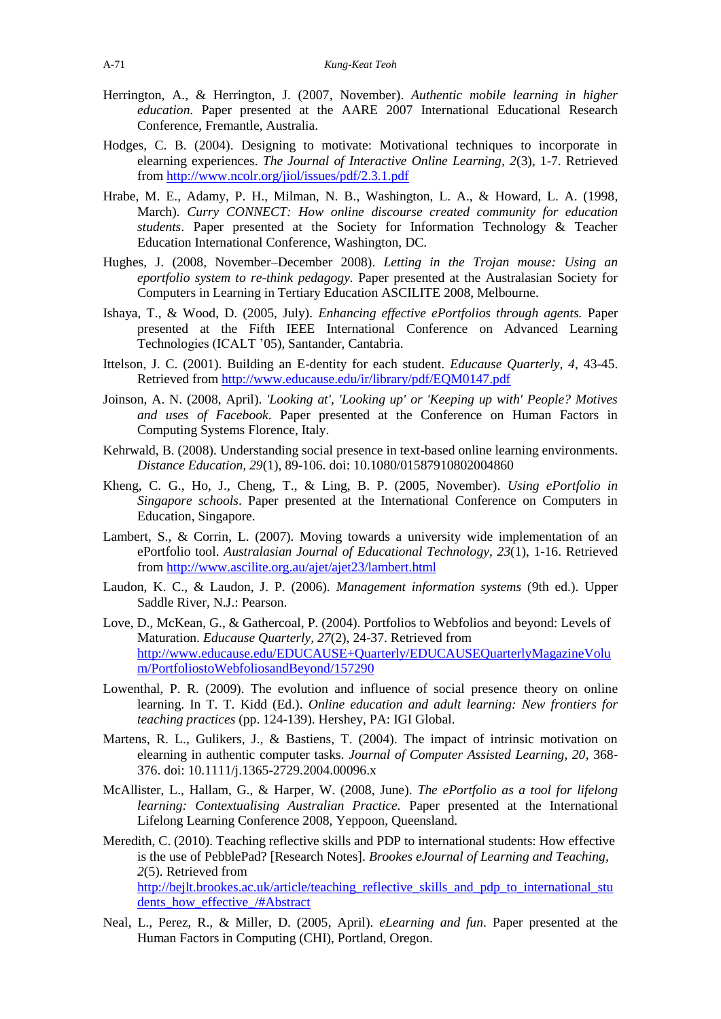- Herrington, A., & Herrington, J. (2007, November). *Authentic mobile learning in higher education*. Paper presented at the AARE 2007 International Educational Research Conference, Fremantle, Australia.
- Hodges, C. B. (2004). Designing to motivate: Motivational techniques to incorporate in elearning experiences. *The Journal of Interactive Online Learning, 2*(3), 1-7. Retrieved from<http://www.ncolr.org/jiol/issues/pdf/2.3.1.pdf>
- Hrabe, M. E., Adamy, P. H., Milman, N. B., Washington, L. A., & Howard, L. A. (1998, March). *Curry CONNECT: How online discourse created community for education students*. Paper presented at the Society for Information Technology & Teacher Education International Conference, Washington, DC.
- Hughes, J. (2008, November–December 2008). *Letting in the Trojan mouse: Using an eportfolio system to re-think pedagogy.* Paper presented at the Australasian Society for Computers in Learning in Tertiary Education ASCILITE 2008, Melbourne.
- Ishaya, T., & Wood, D. (2005, July). *Enhancing effective ePortfolios through agents.* Paper presented at the Fifth IEEE International Conference on Advanced Learning Technologies (ICALT '05), Santander, Cantabria.
- Ittelson, J. C. (2001). Building an E-dentity for each student. *Educause Quarterly, 4*, 43-45. Retrieved from<http://www.educause.edu/ir/library/pdf/EQM0147.pdf>
- Joinson, A. N. (2008, April). *'Looking at', 'Looking up' or 'Keeping up with' People? Motives and uses of Facebook*. Paper presented at the Conference on Human Factors in Computing Systems Florence, Italy.
- Kehrwald, B. (2008). Understanding social presence in text-based online learning environments. *Distance Education, 29*(1), 89-106. doi: 10.1080/01587910802004860
- Kheng, C. G., Ho, J., Cheng, T., & Ling, B. P. (2005, November). *Using ePortfolio in Singapore schools*. Paper presented at the International Conference on Computers in Education, Singapore.
- Lambert, S., & Corrin, L. (2007). Moving towards a university wide implementation of an ePortfolio tool. *Australasian Journal of Educational Technology, 23*(1), 1-16. Retrieved from<http://www.ascilite.org.au/ajet/ajet23/lambert.html>
- Laudon, K. C., & Laudon, J. P. (2006). *Management information systems* (9th ed.). Upper Saddle River, N.J.: Pearson.
- Love, D., McKean, G., & Gathercoal, P. (2004). Portfolios to Webfolios and beyond: Levels of Maturation. *Educause Quarterly, 27*(2), 24-37. Retrieved from [http://www.educause.edu/EDUCAUSE+Quarterly/EDUCAUSEQuarterlyMagazineVolu](http://www.educause.edu/EDUCAUSE+Quarterly/EDUCAUSEQuarterlyMagazineVolum/PortfoliostoWebfoliosandBeyond/157290) [m/PortfoliostoWebfoliosandBeyond/157290](http://www.educause.edu/EDUCAUSE+Quarterly/EDUCAUSEQuarterlyMagazineVolum/PortfoliostoWebfoliosandBeyond/157290)
- Lowenthal, P. R. (2009). The evolution and influence of social presence theory on online learning. In T. T. Kidd (Ed.). *Online education and adult learning: New frontiers for teaching practices* (pp. 124-139). Hershey, PA: IGI Global.
- Martens, R. L., Gulikers, J., & Bastiens, T. (2004). The impact of intrinsic motivation on elearning in authentic computer tasks. *Journal of Computer Assisted Learning, 20*, 368- 376. doi: 10.1111/j.1365-2729.2004.00096.x
- McAllister, L., Hallam, G., & Harper, W. (2008, June). *The ePortfolio as a tool for lifelong learning: Contextualising Australian Practice.* Paper presented at the International Lifelong Learning Conference 2008, Yeppoon, Queensland.
- Meredith, C. (2010). Teaching reflective skills and PDP to international students: How effective is the use of PebblePad? [Research Notes]. *Brookes eJournal of Learning and Teaching, 2*(5). Retrieved from [http://bejlt.brookes.ac.uk/article/teaching\\_reflective\\_skills\\_and\\_pdp\\_to\\_international\\_stu](http://bejlt.brookes.ac.uk/article/teaching_reflective_skills_and_pdp_to_international_students_how_effective_/#Abstract) [dents\\_how\\_effective\\_/#Abstract](http://bejlt.brookes.ac.uk/article/teaching_reflective_skills_and_pdp_to_international_students_how_effective_/#Abstract)
- Neal, L., Perez, R., & Miller, D. (2005, April). *eLearning and fun*. Paper presented at the Human Factors in Computing (CHI), Portland, Oregon.